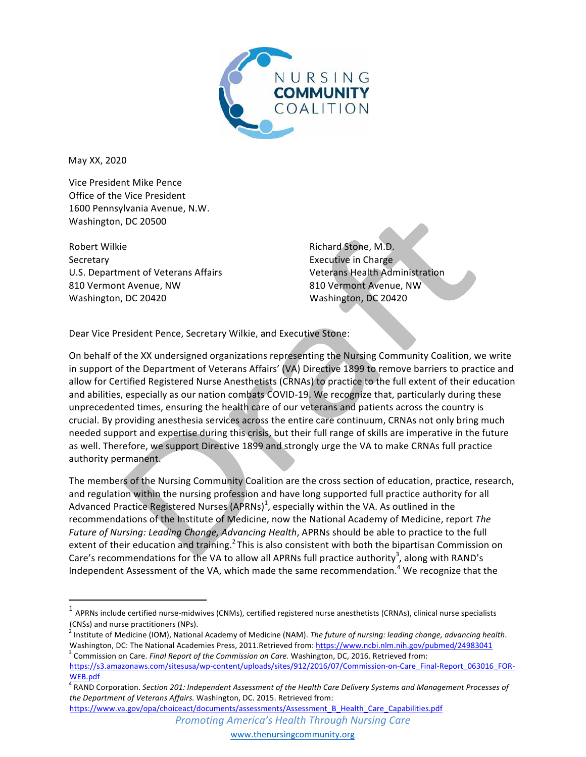

May XX, 2020

Vice President Mike Pence Office of the Vice President 1600 Pennsylvania Avenue, N.W. Washington, DC 20500

Robert Wilkie **Secretary** U.S. Department of Veterans Affairs 810 Vermont Avenue, NW Washington, DC 20420

<u> 1989 - Johann Stein, markin film yn y breninn y breninn y breninn y breninn y breninn y breninn y breninn y b</u>

Richard Stone, M.D. Executive in Charge Veterans Health Administration 810 Vermont Avenue, NW Washington, DC 20420

Dear Vice President Pence, Secretary Wilkie, and Executive Stone:

On behalf of the XX undersigned organizations representing the Nursing Community Coalition, we write in support of the Department of Veterans Affairs' (VA) Directive 1899 to remove barriers to practice and allow for Certified Registered Nurse Anesthetists (CRNAs) to practice to the full extent of their education and abilities, especially as our nation combats COVID-19. We recognize that, particularly during these unprecedented times, ensuring the health care of our veterans and patients across the country is crucial. By providing anesthesia services across the entire care continuum, CRNAs not only bring much needed support and expertise during this crisis, but their full range of skills are imperative in the future as well. Therefore, we support Directive 1899 and strongly urge the VA to make CRNAs full practice authority permanent. 

The members of the Nursing Community Coalition are the cross section of education, practice, research, and regulation within the nursing profession and have long supported full practice authority for all Advanced Practice Registered Nurses (APRNs)<sup>1</sup>, especially within the VA. As outlined in the recommendations of the Institute of Medicine, now the National Academy of Medicine, report The *Future of Nursing: Leading Change, Advancing Health, APRNs should be able to practice to the full* extent of their education and training.<sup>2</sup> This is also consistent with both the bipartisan Commission on Care's recommendations for the VA to allow all APRNs full practice authority<sup>3</sup>, along with RAND's Independent Assessment of the VA, which made the same recommendation.<sup>4</sup> We recognize that the

 $1$  APRNs include certified nurse-midwives (CNMs), certified registered nurse anesthetists (CRNAs), clinical nurse specialists (CNSs) and nurse practitioners (NPs).<br><sup>2</sup> Institute of Medicine (IOM), National Academy of Medicine (NAM). *The future of nursing: leading change, advancing health.* 

Washington, DC: The National Academies Press, 2011.Retrieved from: https://www.ncbi.nlm.nih.gov/pubmed/24983041<br><sup>3</sup> Commission on Care. *Final Report of the Commission on Care*. Washington, DC, 2016. Retrieved from:

https://s3.amazonaws.com/sitesusa/wp-content/uploads/sites/912/2016/07/Commission-on-Care\_Final-Report\_063016\_FOR-

WEB.pdf<br><sup>4</sup> RAND Corporation. Section 201: Independent Assessment of the Health Care Delivery Systems and Management Processes of the Department of Veterans Affairs. Washington, DC. 2015. Retrieved from: